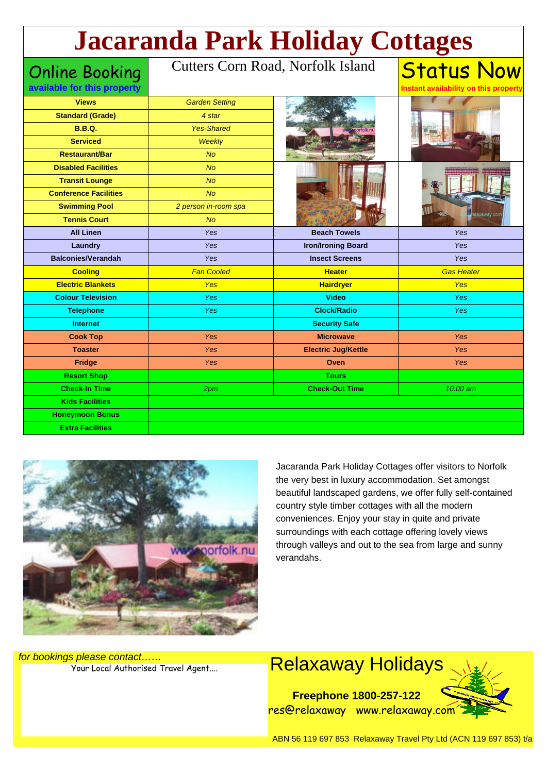# Status Now **Jacaranda Park Holiday Cottages**

Online Booking

#### Cutters Corn Road, Norfolk Island

| available for this property  |                       |                            | Instant availability on this property |
|------------------------------|-----------------------|----------------------------|---------------------------------------|
| <b>Views</b>                 | <b>Garden Setting</b> |                            |                                       |
| <b>Standard (Grade)</b>      | 4 star                |                            |                                       |
| <b>B.B.Q.</b>                | <b>Yes-Shared</b>     |                            |                                       |
| <b>Serviced</b>              | Weekly                |                            |                                       |
| <b>Restaurant/Bar</b>        | <b>No</b>             |                            |                                       |
| <b>Disabled Facilities</b>   | <b>No</b>             |                            |                                       |
| <b>Transit Lounge</b>        | <b>No</b>             |                            |                                       |
| <b>Conference Facilities</b> | <b>No</b>             |                            | laxaway.con                           |
| <b>Swimming Pool</b>         | 2 person in-room spa  |                            |                                       |
| <b>Tennis Court</b>          | <b>No</b>             |                            |                                       |
| <b>All Linen</b>             | Yes                   | <b>Beach Towels</b>        | Yes                                   |
| Laundry                      | Yes                   | <b>Iron/Ironing Board</b>  | Yes                                   |
| <b>Balconies/Verandah</b>    | Yes                   | <b>Insect Screens</b>      | Yes                                   |
| <b>Cooling</b>               | <b>Fan Cooled</b>     | <b>Heater</b>              | <b>Gas Heater</b>                     |
| <b>Electric Blankets</b>     | <b>Yes</b>            | <b>Hairdryer</b>           | <b>Yes</b>                            |
| <b>Colour Television</b>     | Yes                   | <b>Video</b>               | <b>Yes</b>                            |
| <b>Telephone</b>             | <b>Yes</b>            | <b>Clock/Radio</b>         | <b>Yes</b>                            |
| <b>Internet</b>              |                       | <b>Security Safe</b>       |                                       |
| <b>Cook Top</b>              | <b>Yes</b>            | <b>Microwave</b>           | Yes                                   |
| <b>Toaster</b>               | <b>Yes</b>            | <b>Electric Jug/Kettle</b> | Yes                                   |
| <b>Fridge</b>                | Yes                   | Oven                       | Yes                                   |
| <b>Resort Shop</b>           |                       | <b>Tours</b>               |                                       |
| <b>Check-In Time</b>         | 2 <sub>pm</sub>       | <b>Check-Out Time</b>      | 10.00 am                              |
| <b>Kids Facilities</b>       |                       |                            |                                       |
| <b>Honeymoon Bonus</b>       |                       |                            |                                       |
| <b>Extra Facilities</b>      |                       |                            |                                       |
|                              |                       |                            |                                       |



Jacaranda Park Holiday Cottages offer visitors to Norfolk the very best in luxury accommodation. Set amongst beautiful landscaped gardens, we offer fully self-contained country style timber cottages with all the modern conveniences. Enjoy your stay in quite and private surroundings with each cottage offering lovely views through valleys and out to the sea from large and sunny verandahs.

for bookings please contact……